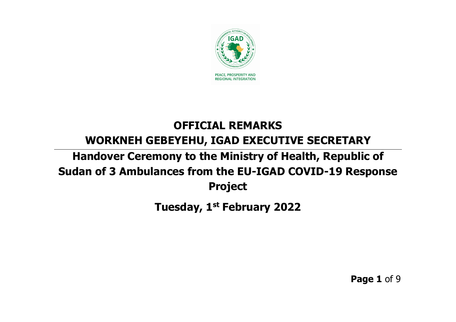

## **OFFICIAL REMARKS WORKNEH GEBEYEHU, IGAD EXECUTIVE SECRETARY**

## **Handover Ceremony to the Ministry of Health, Republic of Sudan of 3 Ambulances from the EU-IGAD COVID-19 Response Project**

**Tuesday, 1st February 2022**

**Page 1** of 9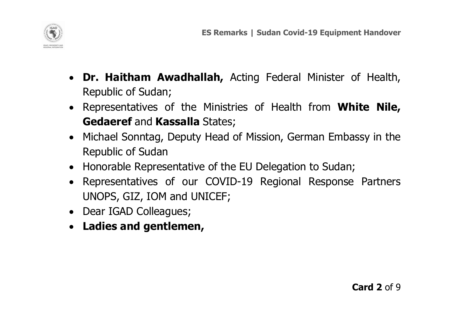

- **Dr. Haitham Awadhallah,** Acting Federal Minister of Health, Republic of Sudan;
- Representatives of the Ministries of Health from **White Nile, Gedaeref** and **Kassalla** States;
- Michael Sonntag, Deputy Head of Mission, German Embassy in the Republic of Sudan
- Honorable Representative of the EU Delegation to Sudan;
- Representatives of our COVID-19 Regional Response Partners UNOPS, GIZ, IOM and UNICEF;
- Dear IGAD Colleagues;
- **Ladies and gentlemen,**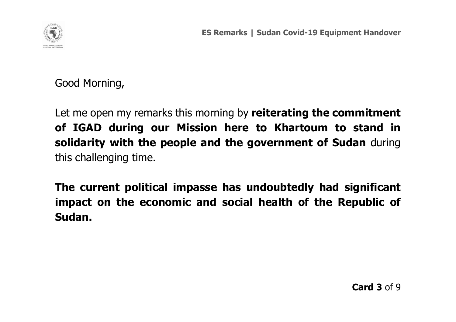

Good Morning,

Let me open my remarks this morning by **reiterating the commitment of IGAD during our Mission here to Khartoum to stand in solidarity with the people and the government of Sudan** during this challenging time.

**The current political impasse has undoubtedly had significant impact on the economic and social health of the Republic of Sudan.**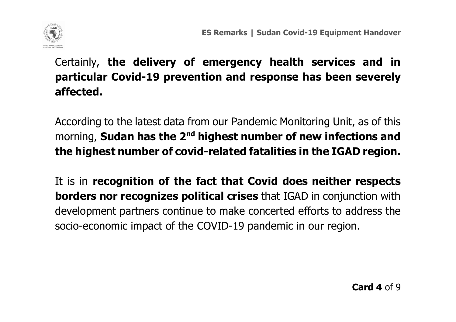

Certainly, **the delivery of emergency health services and in particular Covid-19 prevention and response has been severely affected.** 

According to the latest data from our Pandemic Monitoring Unit, as of this morning, **Sudan has the 2nd highest number of new infections and the highest number of covid-related fatalities in the IGAD region.**

It is in **recognition of the fact that Covid does neither respects borders nor recognizes political crises** that IGAD in conjunction with development partners continue to make concerted efforts to address the socio-economic impact of the COVID-19 pandemic in our region.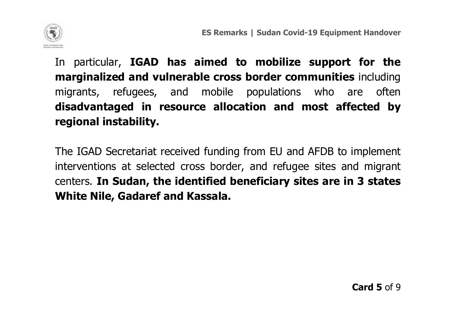

In particular, **IGAD has aimed to mobilize support for the marginalized and vulnerable cross border communities** including migrants, refugees, and mobile populations who are often **disadvantaged in resource allocation and most affected by regional instability.**

The IGAD Secretariat received funding from EU and AFDB to implement interventions at selected cross border, and refugee sites and migrant centers. **In Sudan, the identified beneficiary sites are in 3 states White Nile, Gadaref and Kassala.**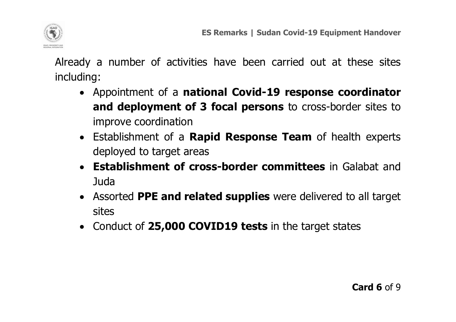

Already a number of activities have been carried out at these sites including:

- Appointment of a **national Covid-19 response coordinator and deployment of 3 focal persons** to cross-border sites to improve coordination
- Establishment of a **Rapid Response Team** of health experts deployed to target areas
- **Establishment of cross-border committees** in Galabat and Juda
- Assorted **PPE and related supplies** were delivered to all target sites
- Conduct of **25,000 COVID19 tests** in the target states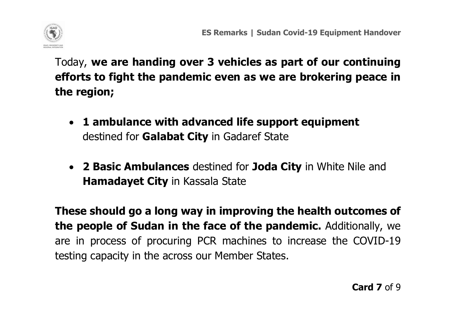

Today, **we are handing over 3 vehicles as part of our continuing efforts to fight the pandemic even as we are brokering peace in the region;**

- **1 ambulance with advanced life support equipment** destined for **Galabat City** in Gadaref State
- **2 Basic Ambulances** destined for **Joda City** in White Nile and **Hamadayet City** in Kassala State

**These should go a long way in improving the health outcomes of the people of Sudan in the face of the pandemic.** Additionally, we are in process of procuring PCR machines to increase the COVID-19 testing capacity in the across our Member States.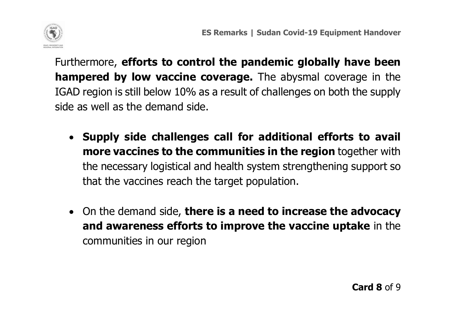

Furthermore, **efforts to control the pandemic globally have been hampered by low vaccine coverage.** The abysmal coverage in the IGAD region is still below 10% as a result of challenges on both the supply side as well as the demand side.

- **Supply side challenges call for additional efforts to avail more vaccines to the communities in the region** together with the necessary logistical and health system strengthening support so that the vaccines reach the target population.
- On the demand side, **there is a need to increase the advocacy and awareness efforts to improve the vaccine uptake** in the communities in our region